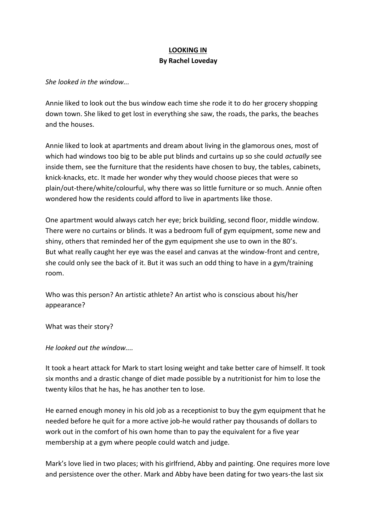## **LOOKING IN By Rachel Loveday**

*She looked in the window...*

Annie liked to look out the bus window each time she rode it to do her grocery shopping down town. She liked to get lost in everything she saw, the roads, the parks, the beaches and the houses.

Annie liked to look at apartments and dream about living in the glamorous ones, most of which had windows too big to be able put blinds and curtains up so she could *actually* see inside them, see the furniture that the residents have chosen to buy, the tables, cabinets, knick-knacks, etc. It made her wonder why they would choose pieces that were so plain/out-there/white/colourful, why there was so little furniture or so much. Annie often wondered how the residents could afford to live in apartments like those.

One apartment would always catch her eye; brick building, second floor, middle window. There were no curtains or blinds. It was a bedroom full of gym equipment, some new and shiny, others that reminded her of the gym equipment she use to own in the 80's. But what really caught her eye was the easel and canvas at the window-front and centre, she could only see the back of it. But it was such an odd thing to have in a gym/training room.

Who was this person? An artistic athlete? An artist who is conscious about his/her appearance?

What was their story?

*He looked out the window....*

It took a heart attack for Mark to start losing weight and take better care of himself. It took six months and a drastic change of diet made possible by a nutritionist for him to lose the twenty kilos that he has, he has another ten to lose.

He earned enough money in his old job as a receptionist to buy the gym equipment that he needed before he quit for a more active job-he would rather pay thousands of dollars to work out in the comfort of his own home than to pay the equivalent for a five year membership at a gym where people could watch and judge.

Mark's love lied in two places; with his girlfriend, Abby and painting. One requires more love and persistence over the other. Mark and Abby have been dating for two years-the last six